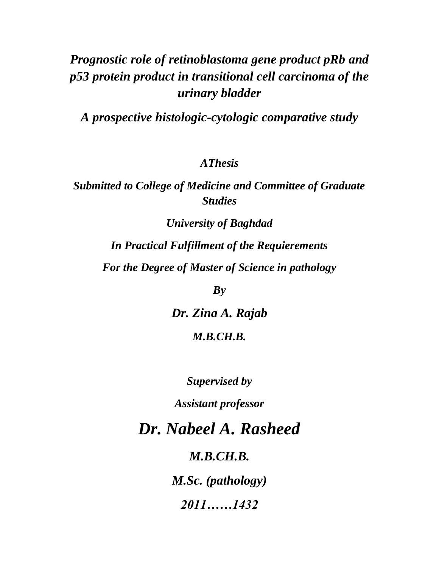# *Prognostic role of retinoblastoma gene product pRb and p53 protein product in transitional cell carcinoma of the urinary bladder*

*A prospective histologic-cytologic comparative study*

*AThesis*

*Submitted to College of Medicine and Committee of Graduate Studies*

*University of Baghdad In Practical Fulfillment of the Requierements For the Degree of Master of Science in pathology*

*By*

*Dr. Zina A. Rajab M.B.CH.B.*

*Supervised by*

*Assistant professor*

*Dr. Nabeel A. Rasheed*

*M.B.CH.B.*

*M.Sc. (pathology)*

*2011……1432*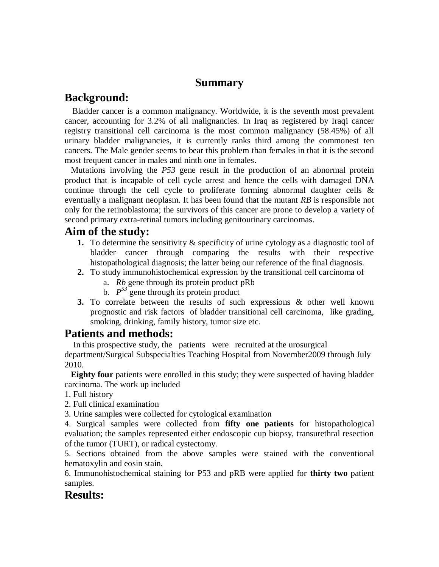### **Summary**

# **Background:**

 Bladder cancer is a common malignancy. Worldwide, it is the seventh most prevalent cancer, accounting for 3.2% of all malignancies. In Iraq as registered by Iraqi cancer registry transitional cell carcinoma is the most common malignancy (58.45%) of all urinary bladder malignancies, it is currently ranks third among the commonest ten cancers. The Male gender seems to bear this problem than females in that it is the second most frequent cancer in males and ninth one in females.

 Mutations involving the *P53* gene result in the production of an abnormal protein product that is incapable of cell cycle arrest and hence the cells with damaged DNA continue through the cell cycle to proliferate forming abnormal daughter cells & eventually a malignant neoplasm. It has been found that the mutant *RB* is responsible not only for the retinoblastoma; the survivors of this cancer are prone to develop a variety of second primary extra-retinal tumors including genitourinary carcinomas.

## **Aim of the study:**

- **1.** To determine the sensitivity & specificity of urine cytology as a diagnostic tool of bladder cancer through comparing the results with their respective histopathological diagnosis; the latter being our reference of the final diagnosis.
- **2.** To study immunohistochemical expression by the transitional cell carcinoma of
	- a. *Rb* gene through its protein product pRb
	- b.  $P^{53}$  gene through its protein product
- **3.** To correlate between the results of such expressions & other well known prognostic and risk factors of bladder transitional cell carcinoma, like grading, smoking, drinking, family history, tumor size etc.

# **Patients and methods:**

 In this prospective study, the patients were recruited at the urosurgical department/Surgical Subspecialties Teaching Hospital from November2009 through July 2010.

 **Eighty four** patients were enrolled in this study; they were suspected of having bladder carcinoma. The work up included

- 1. Full history
- 2. Full clinical examination

3. Urine samples were collected for cytological examination

4. Surgical samples were collected from **fifty one patients** for histopathological evaluation; the samples represented either endoscopic cup biopsy, transurethral resection of the tumor (TURT), or radical cystectomy.

5. Sections obtained from the above samples were stained with the conventional hematoxylin and eosin stain.

6. Immunohistochemical staining for P53 and pRB were applied for **thirty two** patient samples.

## **Results:**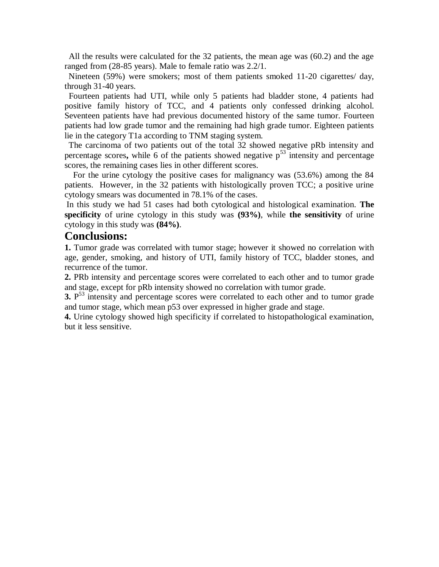All the results were calculated for the 32 patients, the mean age was (60.2) and the age ranged from (28-85 years). Male to female ratio was 2.2/1.

 Nineteen (59%) were smokers; most of them patients smoked 11-20 cigarettes/ day, through 31-40 years.

 Fourteen patients had UTI, while only 5 patients had bladder stone, 4 patients had positive family history of TCC, and 4 patients only confessed drinking alcohol. Seventeen patients have had previous documented history of the same tumor. Fourteen patients had low grade tumor and the remaining had high grade tumor. Eighteen patients lie in the category T1a according to TNM staging system.

 The carcinoma of two patients out of the total 32 showed negative pRb intensity and percentage scores, while 6 of the patients showed negative  $p<sup>53</sup>$  intensity and percentage scores, the remaining cases lies in other different scores.

 For the urine cytology the positive cases for malignancy was (53.6%) among the 84 patients. However, in the 32 patients with histologically proven TCC; a positive urine cytology smears was documented in 78.1% of the cases.

In this study we had 51 cases had both cytological and histological examination. **The specificity** of urine cytology in this study was **(93%)**, while **the sensitivity** of urine cytology in this study was **(84%)**.

## **Conclusions:**

**1.** Tumor grade was correlated with tumor stage; however it showed no correlation with age, gender, smoking, and history of UTI, family history of TCC, bladder stones, and recurrence of the tumor.

**2.** PRb intensity and percentage scores were correlated to each other and to tumor grade and stage, except for pRb intensity showed no correlation with tumor grade.

**3.** P<sup>53</sup> intensity and percentage scores were correlated to each other and to tumor grade and tumor stage, which mean p53 over expressed in higher grade and stage.

**4.** Urine cytology showed high specificity if correlated to histopathological examination, but it less sensitive.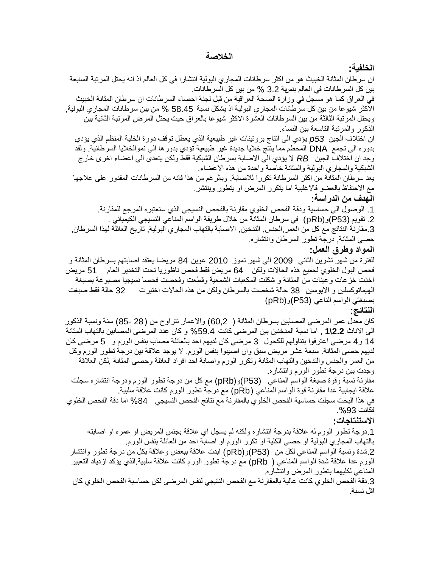#### **الخالصة**

#### **الخلفية:**

ان سرطان المثانة الخبيث هو من اكثر سرطانات المجاري البولية انتشار ا في كل العالم اذ انه يحتل المرتبة السابعة بين كل السرطانات في العالم بنسهة 3.2 % من بين كل السرطانات.

في العراق كما هو مسجل في وزارة الصحة العراقية من قبل لجنة احصاء السرطانات ان سرطان المثانة الخبيث الاكثر شيوعا من بين كل سرطانات المجاري البولية اذ يشكل نسبة 58.45 % من بين سرطانات المجاري البولية, ويحتل المرتبة الثالثة من بين السرطانات العشرة الاكثر شيوعا بالعراق حيث يحتل المرض المرتبة الثانية بين الذكور والمرتبة التاسعة ببن النساء.

ان اختلاف الجين 53 يؤدي الى انتاج بروتينات غير طبيعية الذي يعطل توقف دورة الخلية المنظم الذي يؤدي بدوره الى تجمع DNA المحطم مما ينتج خلايا جديدة غير طبيعية تؤدي بدورها الى نموالخلايا السرطانية. ولقد وجد ان اختلاف الجين RB لا يؤدي الى الاصابة بسرطان الشبكية فقط ولكن يتعدى الى اعضاء اخرى خار ج الشبكية والمجاري البولية والمثانة خاصة واحدة من هذه الاعضاء

ٌعد سرطان المثانة من اكثر السرطانة تكررا لالصابة, وبالرغم من هذا فانه من السرطانات المقدور على عالجها مع الاحتفاظ بالعضو فالاغلبية اما يتكرر المرض او يتطور وينتشر.

#### **الهدف من الدراسة:**

1. الوصول الى حساسية ودقة الفحص الخلوي مقارنة بالفحص النسيجي الذي سنعتبره المرجع للمقارنة. 2. تقويم (P53)و (pRb) في سرطان المثانة من خلال طريقة الواسم المناعي النسيجي الكيميائي 3.مقارنة النتائج مع كل من العمر ,الجنس, التدخين, الاصابة بالتهاب المجاري البولية, تاريخ العائلة لهذا السرطان, حصى المثانة, درجة تطور السرطان وانتشاره.

#### **المواد وطرق العمل:**

للفترة من شهر تشرين الثاني 2009 الى شهر تموز 2010 عوين 84 مريضا يعتقد اصابتهم بسرطان المثانة و فحص البول الخلوي لجميع هذه الحالات ولكن 64 مريض فقط فحص ناظوريا تحت التخدير العام 51 مريض اخذت خزعات وعينات من المثانة و شكلت المكعبات الشمعية وقطعت وفحصت فحصا نسيجيا مصبوغة بصبغة الهيماتوكسلين و الايوسين 38 حالة شخصت بالسرطان ولكن من هذه الحالات اختيرت 32 حالة فقط صبغت بصبغتي الواسم الناعي (P53)و(pRb)

#### **النتائج:**

كان معدل عمر المرضى المصابين بسرطان المثانة ( 60,2) والاعمار تتراوح من (28 -85) سنة ونسبة الذكور الى االناث **2.2\1** , اما نسبة المدخنٌن بٌن المرضى كانت %59.4 و كان عدد المرضى المصابٌن بالتهاب المثانة 14 و 4 مرضى اعترفوا بتناولهم للكحول 3 مرضى كان لديهم احد بالعائلة مصاب بنفس الورم و 5 مرضى كان لديهم حصـي المثانة. سبعة عشر مريض سبق وان اصيبوا بنفس الورم. لا يوجد علاقة بين درجة تطور الورم وكل من العمر والجنس والتدخين والتهاب المثانة وتكرر الورم واصابة احد افراد العائلة وحصىي المثانة ,لكن العلاقة وجدت بين درجة تطور الورم وانتشاره.

مقارنة نسبة وقوة صبغة الواسم المناعي (P53)و(pRb) مع كل من درجة تطور الورم ودرجة انتشاره سجلت علاقة ايجابية عدا مقارنة قوة الواسم المناعي (pRb) مع درجة تطور الورم كانت علاقة سلبية.

في هذا البحث سجلت حساسية الفحص الخلوي بالمقارنة مع نتائج الفحص النسيجي 84% اما دقة الفحص الخلوي فكانت .%93

#### **االستنتاجات:**

1 درجة تطور الورم له علاقة بدرجة انتشاره ولكنه لم يسجل اي علاقة بجنس المريض او عمره او اصابته بالتهاب المجاري البولية او حصىي الكلية او تكرر الورم او اصابة احد من العائلة بنفس الورم.

.2شدة ونسبة الواسم المناعً لكل من (53P(و)pRb )ابدت عالقة ببعض وعالقة بكل من درجة تطور وانتشار الورم عدا علاقة شدة الواسم المناعي ( pRb) مع درجة تطور الورم كانت علاقة سلبية الذي يؤكد ازدياد التعبير المناعي لكليهما بتطور المرض وانتشاره.

3 دقة الفحص الخلوي كانت عالية بالمقارنة مع الفحص النتيجي لنفس المرضى لكن حساسية الفحص الخلوي كان اقل نسبة.